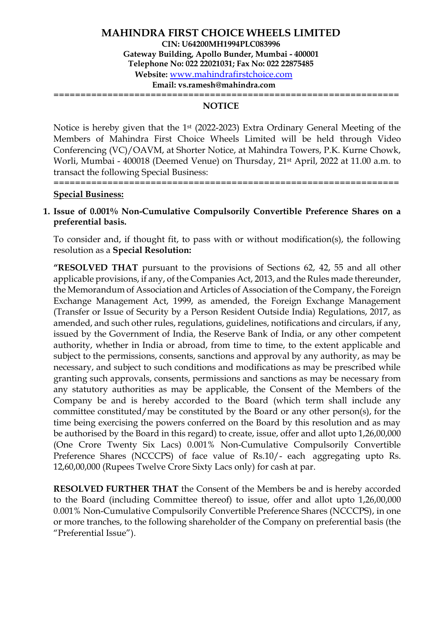================================================================

#### **NOTICE**

Notice is hereby given that the 1st (2022-2023) Extra Ordinary General Meeting of the Members of Mahindra First Choice Wheels Limited will be held through Video Conferencing (VC)/OAVM, at Shorter Notice, at Mahindra Towers, P.K. Kurne Chowk, Worli, Mumbai - 400018 (Deemed Venue) on Thursday, 21st April, 2022 at 11.00 a.m. to transact the following Special Business:

================================================================

#### **Special Business:**

#### **1. Issue of 0.001% Non-Cumulative Compulsorily Convertible Preference Shares on a preferential basis.**

To consider and, if thought fit, to pass with or without modification(s), the following resolution as a **Special Resolution:**

**"RESOLVED THAT** pursuant to the provisions of Sections 62, 42, 55 and all other applicable provisions, if any, of the Companies Act, 2013, and the Rules made thereunder, the Memorandum of Association and Articles of Association of the Company, the Foreign Exchange Management Act, 1999, as amended, the Foreign Exchange Management (Transfer or Issue of Security by a Person Resident Outside India) Regulations, 2017, as amended, and such other rules, regulations, guidelines, notifications and circulars, if any, issued by the Government of India, the Reserve Bank of India, or any other competent authority, whether in India or abroad, from time to time, to the extent applicable and subject to the permissions, consents, sanctions and approval by any authority, as may be necessary, and subject to such conditions and modifications as may be prescribed while granting such approvals, consents, permissions and sanctions as may be necessary from any statutory authorities as may be applicable, the Consent of the Members of the Company be and is hereby accorded to the Board (which term shall include any committee constituted/may be constituted by the Board or any other person(s), for the time being exercising the powers conferred on the Board by this resolution and as may be authorised by the Board in this regard) to create, issue, offer and allot upto 1,26,00,000 (One Crore Twenty Six Lacs) 0.001% Non-Cumulative Compulsorily Convertible Preference Shares (NCCCPS) of face value of Rs.10/- each aggregating upto Rs. 12,60,00,000 (Rupees Twelve Crore Sixty Lacs only) for cash at par.

**RESOLVED FURTHER THAT** the Consent of the Members be and is hereby accorded to the Board (including Committee thereof) to issue, offer and allot upto 1,26,00,000 0.001% Non-Cumulative Compulsorily Convertible Preference Shares (NCCCPS), in one or more tranches, to the following shareholder of the Company on preferential basis (the "Preferential Issue").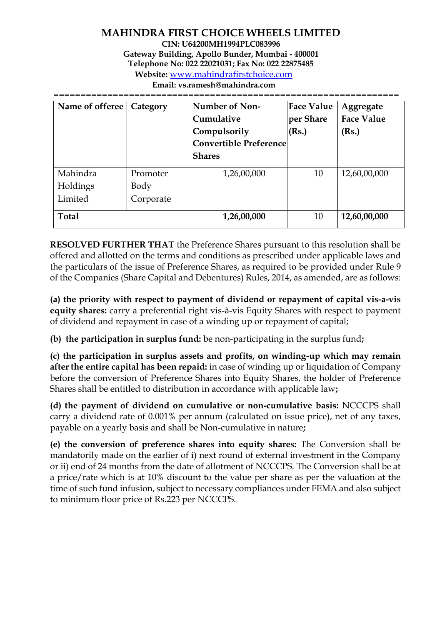# **MAHINDRA FIRST CHOICE WHEELS LIMITED**

**CIN: U64200MH1994PLC083996 Gateway Building, Apollo Bunder, Mumbai - 400001 Telephone No: 022 22021031; Fax No: 022 22875485**

**Website:** [www.mahindrafirstchoice.com](http://www.mahindrafirstchoice.com/)

**Email: vs.ramesh@mahindra.com**

================================================================ Name of offeree | Category | Number of Non-**Cumulative Compulsorily Convertible Preference Shares Face Value per Share (Rs.) Aggregate Face Value (Rs.)** Mahindra Holdings Limited Promoter Body Corporate 1,26,00,000 10 12,60,00,000

**RESOLVED FURTHER THAT** the Preference Shares pursuant to this resolution shall be offered and allotted on the terms and conditions as prescribed under applicable laws and the particulars of the issue of Preference Shares, as required to be provided under Rule 9 of the Companies (Share Capital and Debentures) Rules, 2014, as amended, are as follows:

**Total** 1,26,00,000 10 12,60,00,000

**(a) the priority with respect to payment of dividend or repayment of capital vis-a-vis equity shares:** carry a preferential right vis-à-vis Equity Shares with respect to payment of dividend and repayment in case of a winding up or repayment of capital;

**(b) the participation in surplus fund:** be non-participating in the surplus fund**;**

**(c) the participation in surplus assets and profits, on winding-up which may remain after the entire capital has been repaid:** in case of winding up or liquidation of Company before the conversion of Preference Shares into Equity Shares, the holder of Preference Shares shall be entitled to distribution in accordance with applicable law**;** 

**(d) the payment of dividend on cumulative or non-cumulative basis:** NCCCPS shall carry a dividend rate of 0.001% per annum (calculated on issue price), net of any taxes, payable on a yearly basis and shall be Non-cumulative in nature**;** 

**(e) the conversion of preference shares into equity shares:** The Conversion shall be mandatorily made on the earlier of i) next round of external investment in the Company or ii) end of 24 months from the date of allotment of NCCCPS. The Conversion shall be at a price/rate which is at 10% discount to the value per share as per the valuation at the time of such fund infusion, subject to necessary compliances under FEMA and also subject to minimum floor price of Rs.223 per NCCCPS.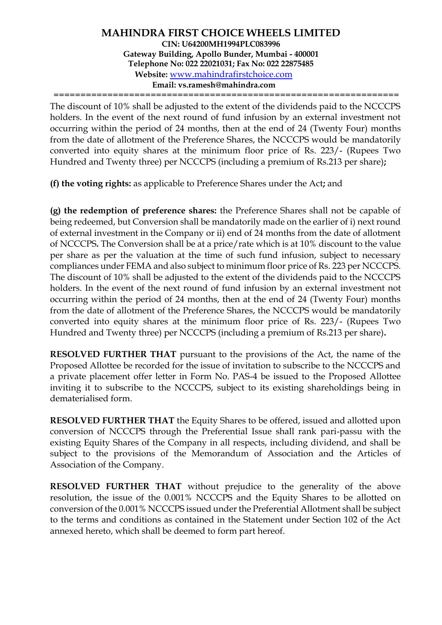================================================================

The discount of 10% shall be adjusted to the extent of the dividends paid to the NCCCPS holders. In the event of the next round of fund infusion by an external investment not occurring within the period of 24 months, then at the end of 24 (Twenty Four) months from the date of allotment of the Preference Shares, the NCCCPS would be mandatorily converted into equity shares at the minimum floor price of Rs. 223/- (Rupees Two Hundred and Twenty three) per NCCCPS (including a premium of Rs.213 per share)**;** 

**(f) the voting rights:** as applicable to Preference Shares under the Act**;** and

**(g) the redemption of preference shares:** the Preference Shares shall not be capable of being redeemed, but Conversion shall be mandatorily made on the earlier of i) next round of external investment in the Company or ii) end of 24 months from the date of allotment of NCCCPS**.** The Conversion shall be at a price/rate which is at 10% discount to the value per share as per the valuation at the time of such fund infusion, subject to necessary compliances under FEMA and also subject to minimum floor price of Rs. 223 per NCCCPS. The discount of 10% shall be adjusted to the extent of the dividends paid to the NCCCPS holders. In the event of the next round of fund infusion by an external investment not occurring within the period of 24 months, then at the end of 24 (Twenty Four) months from the date of allotment of the Preference Shares, the NCCCPS would be mandatorily converted into equity shares at the minimum floor price of Rs. 223/- (Rupees Two Hundred and Twenty three) per NCCCPS (including a premium of Rs.213 per share)**.**

**RESOLVED FURTHER THAT** pursuant to the provisions of the Act, the name of the Proposed Allottee be recorded for the issue of invitation to subscribe to the NCCCPS and a private placement offer letter in Form No. PAS-4 be issued to the Proposed Allottee inviting it to subscribe to the NCCCPS, subject to its existing shareholdings being in dematerialised form.

**RESOLVED FURTHER THAT** the Equity Shares to be offered, issued and allotted upon conversion of NCCCPS through the Preferential Issue shall rank pari-passu with the existing Equity Shares of the Company in all respects, including dividend, and shall be subject to the provisions of the Memorandum of Association and the Articles of Association of the Company.

**RESOLVED FURTHER THAT** without prejudice to the generality of the above resolution, the issue of the 0.001% NCCCPS and the Equity Shares to be allotted on conversion of the 0.001% NCCCPS issued under the Preferential Allotment shall be subject to the terms and conditions as contained in the Statement under Section 102 of the Act annexed hereto, which shall be deemed to form part hereof.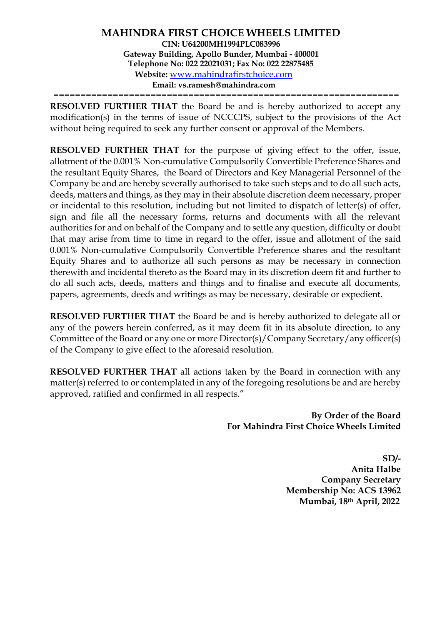================================================================

**RESOLVED FURTHER THAT** the Board be and is hereby authorized to accept any modification(s) in the terms of issue of NCCCPS, subject to the provisions of the Act without being required to seek any further consent or approval of the Members.

**RESOLVED FURTHER THAT** for the purpose of giving effect to the offer, issue, allotment of the 0.001% Non-cumulative Compulsorily Convertible Preference Shares and the resultant Equity Shares, the Board of Directors and Key Managerial Personnel of the Company be and are hereby severally authorised to take such steps and to do all such acts, deeds, matters and things, as they may in their absolute discretion deem necessary, proper or incidental to this resolution, including but not limited to dispatch of letter(s) of offer, sign and file all the necessary forms, returns and documents with all the relevant authorities for and on behalf of the Company and to settle any question, difficulty or doubt that may arise from time to time in regard to the offer, issue and allotment of the said 0.001% Non-cumulative Compulsorily Convertible Preference shares and the resultant Equity Shares and to authorize all such persons as may be necessary in connection therewith and incidental thereto as the Board may in its discretion deem fit and further to do all such acts, deeds, matters and things and to finalise and execute all documents, papers, agreements, deeds and writings as may be necessary, desirable or expedient.

**RESOLVED FURTHER THAT** the Board be and is hereby authorized to delegate all or any of the powers herein conferred, as it may deem fit in its absolute direction, to any Committee of the Board or any one or more Director(s)/Company Secretary/any officer(s) of the Company to give effect to the aforesaid resolution.

**RESOLVED FURTHER THAT** all actions taken by the Board in connection with any matter(s) referred to or contemplated in any of the foregoing resolutions be and are hereby approved, ratified and confirmed in all respects."

> **By Order of the Board For Mahindra First Choice Wheels Limited**

> > **SD/- Anita Halbe Company Secretary Membership No: ACS 13962 Mumbai, 18th April, 2022**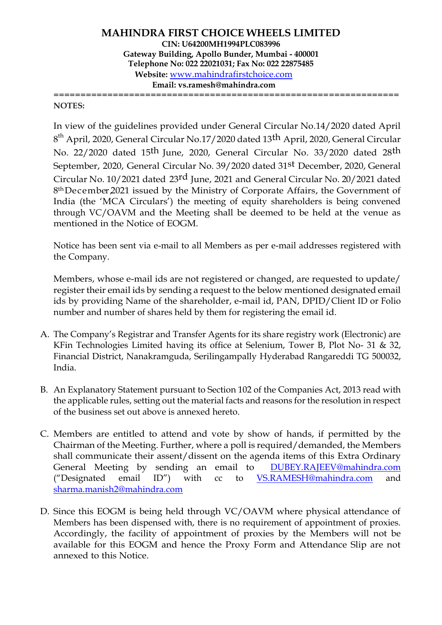================================================================ **NOTES:**

In view of the guidelines provided under General Circular No.14/2020 dated April 8<sup>th</sup> April, 2020, General Circular No.17/2020 dated 13<sup>th</sup> April, 2020, General Circular No. 22/2020 dated 15th June, 2020, General Circular No. 33/2020 dated 28th September, 2020, General Circular No. 39/2020 dated 31st December, 2020, General Circular No. 10/2021 dated 23rd June, 2021 and General Circular No. 20/2021 dated 8<sup>th</sup> December 2021 issued by the Ministry of Corporate Affairs, the Government of India (the 'MCA Circulars') the meeting of equity shareholders is being convened through VC/OAVM and the Meeting shall be deemed to be held at the venue as mentioned in the Notice of EOGM.

Notice has been sent via e-mail to all Members as per e-mail addresses registered with the Company.

Members, whose e-mail ids are not registered or changed, are requested to update/ register their email ids by sending a request to the below mentioned designated email ids by providing Name of the shareholder, e-mail id, PAN, DPID/Client ID or Folio number and number of shares held by them for registering the email id.

- A. The Company's Registrar and Transfer Agents for its share registry work (Electronic) are KFin Technologies Limited having its office at Selenium, Tower B, Plot No- 31 & 32, Financial District, Nanakramguda, Serilingampally Hyderabad Rangareddi TG 500032, India.
- B. An Explanatory Statement pursuant to Section 102 of the Companies Act, 2013 read with the applicable rules, setting out the material facts and reasons for the resolution in respect of the business set out above is annexed hereto.
- C. Members are entitled to attend and vote by show of hands, if permitted by the Chairman of the Meeting. Further, where a poll is required/demanded, the Members shall communicate their assent/dissent on the agenda items of this Extra Ordinary General Meeting by sending an email to [DUBEY.RAJEEV@mahindra.com](mailto:DUBEY.RAJEEV@mahindra.com) ("Designated email ID") with cc to [VS.RAMESH@mahindra.com](mailto:VS.RAMESH@mahindra.com) and [sharma.manish2@mahindra.com](mailto:sharma.manish2@mahindra.com)
- D. Since this EOGM is being held through VC/OAVM where physical attendance of Members has been dispensed with, there is no requirement of appointment of proxies. Accordingly, the facility of appointment of proxies by the Members will not be available for this EOGM and hence the Proxy Form and Attendance Slip are not annexed to this Notice.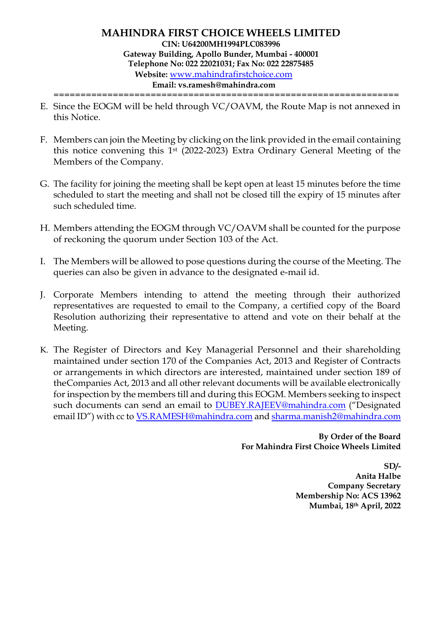================================================================

- E. Since the EOGM will be held through VC/OAVM, the Route Map is not annexed in this Notice.
- F. Members can join the Meeting by clicking on the link provided in the email containing this notice convening this 1st (2022-2023) Extra Ordinary General Meeting of the Members of the Company.
- G. The facility for joining the meeting shall be kept open at least 15 minutes before the time scheduled to start the meeting and shall not be closed till the expiry of 15 minutes after such scheduled time.
- H. Members attending the EOGM through VC/OAVM shall be counted for the purpose of reckoning the quorum under Section 103 of the Act.
- I. The Members will be allowed to pose questions during the course of the Meeting. The queries can also be given in advance to the designated e-mail id.
- J. Corporate Members intending to attend the meeting through their authorized representatives are requested to email to the Company, a certified copy of the Board Resolution authorizing their representative to attend and vote on their behalf at the Meeting.
- K. The Register of Directors and Key Managerial Personnel and their shareholding maintained under section 170 of the Companies Act, 2013 and Register of Contracts or arrangements in which directors are interested, maintained under section 189 of theCompanies Act, 2013 and all other relevant documents will be available electronically for inspection by the members till and during this EOGM. Members seeking to inspect such documents can send an email to [DUBEY.RAJEEV@mahindra.com](mailto:DUBEY.RAJEEV@mahindra.com) ("Designated email ID") with cc to [VS.RAMESH@mahindra.com](mailto:VS.RAMESH@mahindra.com) and [sharma.manish2@mahindra.com](mailto:sharma.manish2@mahindra.com)

**By Order of the Board For Mahindra First Choice Wheels Limited** 

> **SD/- Anita Halbe Company Secretary Membership No: ACS 13962 Mumbai, 18th April, 2022**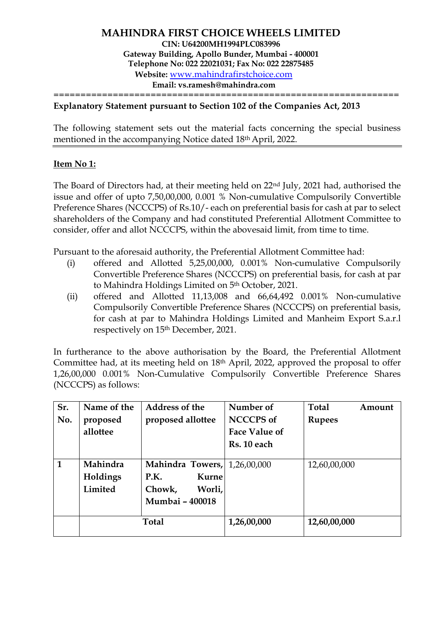================================================================

#### **Explanatory Statement pursuant to Section 102 of the Companies Act, 2013**

The following statement sets out the material facts concerning the special business mentioned in the accompanying Notice dated 18th April, 2022.

#### **Item No 1:**

The Board of Directors had, at their meeting held on 22nd July, 2021 had, authorised the issue and offer of upto 7,50,00,000, 0.001 % Non-cumulative Compulsorily Convertible Preference Shares (NCCCPS) of Rs.10/- each on preferential basis for cash at par to select shareholders of the Company and had constituted Preferential Allotment Committee to consider, offer and allot NCCCPS, within the abovesaid limit, from time to time.

Pursuant to the aforesaid authority, the Preferential Allotment Committee had:

- (i) offered and Allotted 5,25,00,000, 0.001% Non-cumulative Compulsorily Convertible Preference Shares (NCCCPS) on preferential basis, for cash at par to Mahindra Holdings Limited on 5th October, 2021.
- (ii) offered and Allotted 11,13,008 and 66,64,492 0.001% Non-cumulative Compulsorily Convertible Preference Shares (NCCCPS) on preferential basis, for cash at par to Mahindra Holdings Limited and Manheim Export S.a.r.l respectively on 15th December, 2021.

In furtherance to the above authorisation by the Board, the Preferential Allotment Committee had, at its meeting held on 18th April, 2022, approved the proposal to offer 1,26,00,000 0.001% Non-Cumulative Compulsorily Convertible Preference Shares (NCCCPS) as follows:

| Sr.          | Name of the | <b>Address of the</b>               | Number of            | Total<br>Amount |  |
|--------------|-------------|-------------------------------------|----------------------|-----------------|--|
| No.          | proposed    | proposed allottee                   | <b>NCCCPS</b> of     | <b>Rupees</b>   |  |
|              | allottee    |                                     | <b>Face Value of</b> |                 |  |
|              |             |                                     | Rs. 10 each          |                 |  |
|              |             |                                     |                      |                 |  |
| $\mathbf{1}$ | Mahindra    | <b>Mahindra Towers, 1,26,00,000</b> |                      | 12,60,00,000    |  |
|              | Holdings    | Kurne<br>P.K.                       |                      |                 |  |
|              | Limited     | Worli,<br>Chowk,                    |                      |                 |  |
|              |             | Mumbai - 400018                     |                      |                 |  |
|              |             | <b>Total</b>                        | 1,26,00,000          | 12,60,00,000    |  |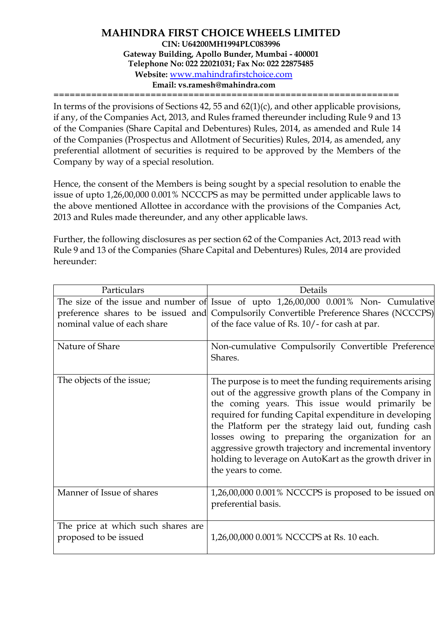================================================================

In terms of the provisions of Sections 42, 55 and 62(1)(c), and other applicable provisions, if any, of the Companies Act, 2013, and Rules framed thereunder including Rule 9 and 13 of the Companies (Share Capital and Debentures) Rules, 2014, as amended and Rule 14 of the Companies (Prospectus and Allotment of Securities) Rules, 2014, as amended, any preferential allotment of securities is required to be approved by the Members of the Company by way of a special resolution.

Hence, the consent of the Members is being sought by a special resolution to enable the issue of upto 1,26,00,000 0.001% NCCCPS as may be permitted under applicable laws to the above mentioned Allottee in accordance with the provisions of the Companies Act, 2013 and Rules made thereunder, and any other applicable laws.

Further, the following disclosures as per section 62 of the Companies Act, 2013 read with Rule 9 and 13 of the Companies (Share Capital and Debentures) Rules, 2014 are provided hereunder:

| Particulars                                                 | Details                                                                                                                                                                                                                                                                                                                                                                                                                                                                              |  |  |
|-------------------------------------------------------------|--------------------------------------------------------------------------------------------------------------------------------------------------------------------------------------------------------------------------------------------------------------------------------------------------------------------------------------------------------------------------------------------------------------------------------------------------------------------------------------|--|--|
|                                                             | The size of the issue and number of Issue of upto 1,26,00,000 0.001% Non- Cumulative                                                                                                                                                                                                                                                                                                                                                                                                 |  |  |
|                                                             | preference shares to be issued and Compulsorily Convertible Preference Shares (NCCCPS)                                                                                                                                                                                                                                                                                                                                                                                               |  |  |
| nominal value of each share                                 | of the face value of Rs. 10/- for cash at par.                                                                                                                                                                                                                                                                                                                                                                                                                                       |  |  |
| Nature of Share                                             | Non-cumulative Compulsorily Convertible Preference<br>Shares.                                                                                                                                                                                                                                                                                                                                                                                                                        |  |  |
| The objects of the issue;                                   | The purpose is to meet the funding requirements arising<br>out of the aggressive growth plans of the Company in<br>the coming years. This issue would primarily be<br>required for funding Capital expenditure in developing<br>the Platform per the strategy laid out, funding cash<br>losses owing to preparing the organization for an<br>aggressive growth trajectory and incremental inventory<br>holding to leverage on AutoKart as the growth driver in<br>the years to come. |  |  |
| Manner of Issue of shares                                   | 1,26,00,000 0.001% NCCCPS is proposed to be issued on<br>preferential basis.                                                                                                                                                                                                                                                                                                                                                                                                         |  |  |
| The price at which such shares are<br>proposed to be issued | 1,26,00,000 0.001% NCCCPS at Rs. 10 each.                                                                                                                                                                                                                                                                                                                                                                                                                                            |  |  |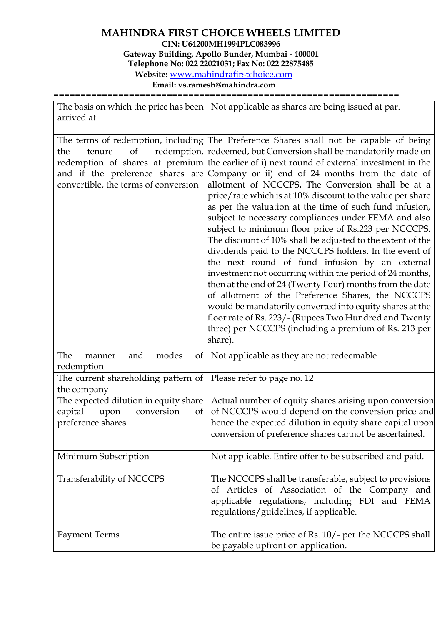# **MAHINDRA FIRST CHOICE WHEELS LIMITED CIN: U64200MH1994PLC083996 Gateway Building, Apollo Bunder, Mumbai - 400001**

**Telephone No: 022 22021031; Fax No: 022 22875485 Website:** [www.mahindrafirstchoice.com](http://www.mahindrafirstchoice.com/)

**Email: vs.ramesh@mahindra.com**

================================================================

| arrived at                                                                                        | The basis on which the price has been   Not applicable as shares are being issued at par.                                                                                                                                                                                                                                                                                                                                                                                                                                                                                                                                                                                                                                                                                                                                                                                                                                                                                                                                                                                                                                                                                                    |  |
|---------------------------------------------------------------------------------------------------|----------------------------------------------------------------------------------------------------------------------------------------------------------------------------------------------------------------------------------------------------------------------------------------------------------------------------------------------------------------------------------------------------------------------------------------------------------------------------------------------------------------------------------------------------------------------------------------------------------------------------------------------------------------------------------------------------------------------------------------------------------------------------------------------------------------------------------------------------------------------------------------------------------------------------------------------------------------------------------------------------------------------------------------------------------------------------------------------------------------------------------------------------------------------------------------------|--|
|                                                                                                   |                                                                                                                                                                                                                                                                                                                                                                                                                                                                                                                                                                                                                                                                                                                                                                                                                                                                                                                                                                                                                                                                                                                                                                                              |  |
| of<br>the<br>tenure<br>convertible, the terms of conversion                                       | The terms of redemption, including The Preference Shares shall not be capable of being<br>redemption, redeemed, but Conversion shall be mandatorily made on<br>redemption of shares at premium the earlier of i) next round of external investment in the<br>and if the preference shares are Company or ii) end of 24 months from the date of<br>allotment of NCCCPS. The Conversion shall be at a<br>price/rate which is at 10% discount to the value per share<br>as per the valuation at the time of such fund infusion,<br>subject to necessary compliances under FEMA and also<br>subject to minimum floor price of Rs.223 per NCCCPS.<br>The discount of 10% shall be adjusted to the extent of the<br>dividends paid to the NCCCPS holders. In the event of<br>the next round of fund infusion by an external<br>investment not occurring within the period of 24 months,<br>then at the end of 24 (Twenty Four) months from the date<br>of allotment of the Preference Shares, the NCCCPS<br>would be mandatorily converted into equity shares at the<br>floor rate of Rs. 223/- (Rupees Two Hundred and Twenty<br>three) per NCCCPS (including a premium of Rs. 213 per<br>share). |  |
| modes<br>The<br>and<br>$\left  \right $<br>manner<br>redemption                                   | Not applicable as they are not redeemable                                                                                                                                                                                                                                                                                                                                                                                                                                                                                                                                                                                                                                                                                                                                                                                                                                                                                                                                                                                                                                                                                                                                                    |  |
| The current shareholding pattern of<br>the company                                                | Please refer to page no. 12                                                                                                                                                                                                                                                                                                                                                                                                                                                                                                                                                                                                                                                                                                                                                                                                                                                                                                                                                                                                                                                                                                                                                                  |  |
| The expected dilution in equity share<br>capital<br>conversion<br>of<br>upon<br>preference shares | Actual number of equity shares arising upon conversion<br>of NCCCPS would depend on the conversion price and<br>hence the expected dilution in equity share capital upon<br>conversion of preference shares cannot be ascertained.                                                                                                                                                                                                                                                                                                                                                                                                                                                                                                                                                                                                                                                                                                                                                                                                                                                                                                                                                           |  |
| Minimum Subscription                                                                              | Not applicable. Entire offer to be subscribed and paid.                                                                                                                                                                                                                                                                                                                                                                                                                                                                                                                                                                                                                                                                                                                                                                                                                                                                                                                                                                                                                                                                                                                                      |  |
| Transferability of NCCCPS                                                                         | The NCCCPS shall be transferable, subject to provisions<br>of Articles of Association of the Company and<br>applicable regulations, including FDI and FEMA<br>regulations/guidelines, if applicable.                                                                                                                                                                                                                                                                                                                                                                                                                                                                                                                                                                                                                                                                                                                                                                                                                                                                                                                                                                                         |  |
| <b>Payment Terms</b>                                                                              | The entire issue price of Rs. 10/- per the NCCCPS shall<br>be payable upfront on application.                                                                                                                                                                                                                                                                                                                                                                                                                                                                                                                                                                                                                                                                                                                                                                                                                                                                                                                                                                                                                                                                                                |  |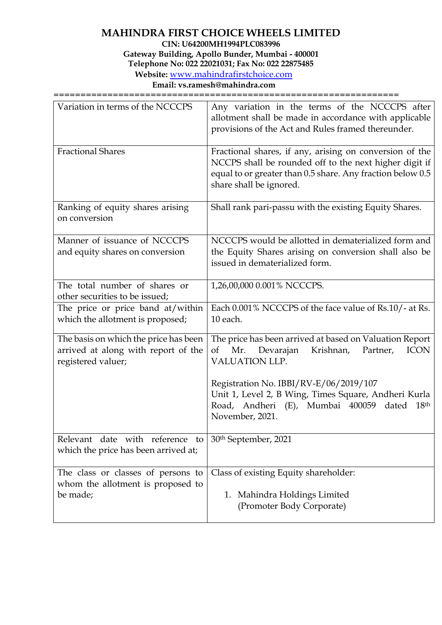# **MAHINDRA FIRST CHOICE WHEELS LIMITED**

**CIN: U64200MH1994PLC083996**

**Gateway Building, Apollo Bunder, Mumbai - 400001**

**Telephone No: 022 22021031; Fax No: 022 22875485**

**Website:** [www.mahindrafirstchoice.com](http://www.mahindrafirstchoice.com/)

**Email: vs.ramesh@mahindra.com**

================================================================

| Variation in terms of the NCCCPS                                                                   | Any variation in the terms of the NCCCPS after<br>allotment shall be made in accordance with applicable<br>provisions of the Act and Rules framed thereunder.                                              |
|----------------------------------------------------------------------------------------------------|------------------------------------------------------------------------------------------------------------------------------------------------------------------------------------------------------------|
| <b>Fractional Shares</b>                                                                           | Fractional shares, if any, arising on conversion of the<br>NCCPS shall be rounded off to the next higher digit if<br>equal to or greater than 0.5 share. Any fraction below 0.5<br>share shall be ignored. |
| Ranking of equity shares arising<br>on conversion                                                  | Shall rank pari-passu with the existing Equity Shares.                                                                                                                                                     |
| Manner of issuance of NCCCPS<br>and equity shares on conversion                                    | NCCCPS would be allotted in dematerialized form and<br>the Equity Shares arising on conversion shall also be<br>issued in dematerialized form.                                                             |
| The total number of shares or<br>other securities to be issued;                                    | 1,26,00,000 0.001% NCCCPS.                                                                                                                                                                                 |
| The price or price band at/within<br>which the allotment is proposed;                              | Each 0.001% NCCCPS of the face value of Rs.10/- at Rs.<br>10 each.                                                                                                                                         |
| The basis on which the price has been<br>arrived at along with report of the<br>registered valuer; | The price has been arrived at based on Valuation Report<br><b>ICON</b><br>Mr.<br>Devarajan<br>Krishnan,<br>οf<br>Partner,<br><b>VALUATION LLP.</b>                                                         |
|                                                                                                    | Registration No. IBBI/RV-E/06/2019/107<br>Unit 1, Level 2, B Wing, Times Square, Andheri Kurla<br>Road, Andheri (E), Mumbai 400059<br>dated<br>18 <sup>th</sup><br>November, 2021.                         |
| Relevant date with reference to<br>which the price has been arrived at;                            | 30 <sup>th</sup> September, 2021                                                                                                                                                                           |
| The class or classes of persons to<br>whom the allotment is proposed to<br>be made;                | Class of existing Equity shareholder:<br>1. Mahindra Holdings Limited<br>(Promoter Body Corporate)                                                                                                         |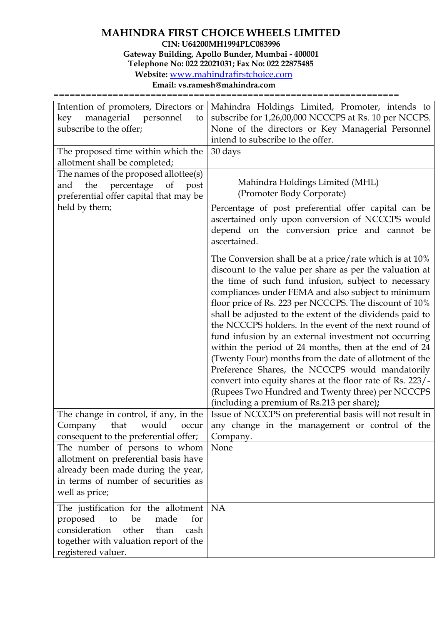### **MAHINDRA FIRST CHOICE WHEELS LIMITED CIN: U64200MH1994PLC083996**

**Gateway Building, Apollo Bunder, Mumbai - 400001**

**Telephone No: 022 22021031; Fax No: 022 22875485**

**Website:** [www.mahindrafirstchoice.com](http://www.mahindrafirstchoice.com/)

**Email: vs.ramesh@mahindra.com**

================================================================

| Intention of promoters, Directors or                                                                                                                          | Mahindra Holdings Limited, Promoter, intends to                                                                                                                                                                                                                                                                                                                                                                                                                                                                                                                                                                                                                                                                                                                                                               |
|---------------------------------------------------------------------------------------------------------------------------------------------------------------|---------------------------------------------------------------------------------------------------------------------------------------------------------------------------------------------------------------------------------------------------------------------------------------------------------------------------------------------------------------------------------------------------------------------------------------------------------------------------------------------------------------------------------------------------------------------------------------------------------------------------------------------------------------------------------------------------------------------------------------------------------------------------------------------------------------|
| managerial<br>key<br>personnel<br>to                                                                                                                          | subscribe for 1,26,00,000 NCCCPS at Rs. 10 per NCCPS.                                                                                                                                                                                                                                                                                                                                                                                                                                                                                                                                                                                                                                                                                                                                                         |
| subscribe to the offer;                                                                                                                                       | None of the directors or Key Managerial Personnel                                                                                                                                                                                                                                                                                                                                                                                                                                                                                                                                                                                                                                                                                                                                                             |
|                                                                                                                                                               | intend to subscribe to the offer.                                                                                                                                                                                                                                                                                                                                                                                                                                                                                                                                                                                                                                                                                                                                                                             |
| The proposed time within which the                                                                                                                            | 30 days                                                                                                                                                                                                                                                                                                                                                                                                                                                                                                                                                                                                                                                                                                                                                                                                       |
| allotment shall be completed;                                                                                                                                 |                                                                                                                                                                                                                                                                                                                                                                                                                                                                                                                                                                                                                                                                                                                                                                                                               |
| The names of the proposed allottee(s)                                                                                                                         |                                                                                                                                                                                                                                                                                                                                                                                                                                                                                                                                                                                                                                                                                                                                                                                                               |
| the<br>percentage<br>of<br>post<br>and<br>preferential offer capital that may be                                                                              | Mahindra Holdings Limited (MHL)<br>(Promoter Body Corporate)                                                                                                                                                                                                                                                                                                                                                                                                                                                                                                                                                                                                                                                                                                                                                  |
| held by them;                                                                                                                                                 | Percentage of post preferential offer capital can be                                                                                                                                                                                                                                                                                                                                                                                                                                                                                                                                                                                                                                                                                                                                                          |
|                                                                                                                                                               | ascertained only upon conversion of NCCCPS would<br>depend on the conversion price and cannot be<br>ascertained.                                                                                                                                                                                                                                                                                                                                                                                                                                                                                                                                                                                                                                                                                              |
|                                                                                                                                                               | The Conversion shall be at a price/rate which is at 10%<br>discount to the value per share as per the valuation at<br>the time of such fund infusion, subject to necessary<br>compliances under FEMA and also subject to minimum<br>floor price of Rs. 223 per NCCCPS. The discount of 10%<br>shall be adjusted to the extent of the dividends paid to<br>the NCCCPS holders. In the event of the next round of<br>fund infusion by an external investment not occurring<br>within the period of 24 months, then at the end of 24<br>(Twenty Four) months from the date of allotment of the<br>Preference Shares, the NCCCPS would mandatorily<br>convert into equity shares at the floor rate of Rs. 223/-<br>(Rupees Two Hundred and Twenty three) per NCCCPS<br>(including a premium of Rs.213 per share); |
| The change in control, if any, in the                                                                                                                         | Issue of NCCCPS on preferential basis will not result in                                                                                                                                                                                                                                                                                                                                                                                                                                                                                                                                                                                                                                                                                                                                                      |
| Company<br>that<br>would<br>occur                                                                                                                             | any change in the management or control of the                                                                                                                                                                                                                                                                                                                                                                                                                                                                                                                                                                                                                                                                                                                                                                |
| consequent to the preferential offer;                                                                                                                         | Company.                                                                                                                                                                                                                                                                                                                                                                                                                                                                                                                                                                                                                                                                                                                                                                                                      |
| The number of persons to whom                                                                                                                                 | None                                                                                                                                                                                                                                                                                                                                                                                                                                                                                                                                                                                                                                                                                                                                                                                                          |
| allotment on preferential basis have                                                                                                                          |                                                                                                                                                                                                                                                                                                                                                                                                                                                                                                                                                                                                                                                                                                                                                                                                               |
| already been made during the year,                                                                                                                            |                                                                                                                                                                                                                                                                                                                                                                                                                                                                                                                                                                                                                                                                                                                                                                                                               |
| in terms of number of securities as                                                                                                                           |                                                                                                                                                                                                                                                                                                                                                                                                                                                                                                                                                                                                                                                                                                                                                                                                               |
| well as price;                                                                                                                                                |                                                                                                                                                                                                                                                                                                                                                                                                                                                                                                                                                                                                                                                                                                                                                                                                               |
| The justification for the allotment<br>to<br>be<br>proposed<br>made<br>for<br>consideration<br>other<br>than<br>cash<br>together with valuation report of the | NA                                                                                                                                                                                                                                                                                                                                                                                                                                                                                                                                                                                                                                                                                                                                                                                                            |
| registered valuer.                                                                                                                                            |                                                                                                                                                                                                                                                                                                                                                                                                                                                                                                                                                                                                                                                                                                                                                                                                               |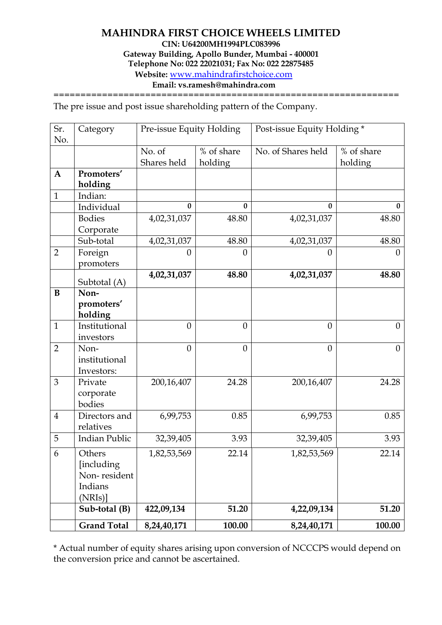#### **Email: vs.ramesh@mahindra.com**

=============================

The pre issue and post issue shareholding pattern of the Company.

| Sr.<br>No.     | Category                                                  | Pre-issue Equity Holding |                       | Post-issue Equity Holding * |                       |
|----------------|-----------------------------------------------------------|--------------------------|-----------------------|-----------------------------|-----------------------|
|                |                                                           | No. of<br>Shares held    | % of share<br>holding | No. of Shares held          | % of share<br>holding |
| $\mathbf{A}$   | Promoters'<br>holding                                     |                          |                       |                             |                       |
| $\mathbf{1}$   | Indian:                                                   |                          |                       |                             |                       |
|                | Individual                                                | $\bf{0}$                 | $\bf{0}$              | 0                           | $\mathbf{0}$          |
|                | <b>Bodies</b><br>Corporate                                | 4,02,31,037              | 48.80                 | 4,02,31,037                 | 48.80                 |
|                | Sub-total                                                 | 4,02,31,037              | 48.80                 | 4,02,31,037                 | 48.80                 |
| $\overline{2}$ | Foreign<br>promoters                                      | $\theta$                 | $\overline{0}$        | $\boldsymbol{0}$            | $\boldsymbol{0}$      |
|                | Subtotal (A)                                              | 4,02,31,037              | 48.80                 | 4,02,31,037                 | 48.80                 |
| B              | Non-<br>promoters'<br>holding                             |                          |                       |                             |                       |
| $\mathbf{1}$   | Institutional<br>investors                                | $\theta$                 | $\theta$              | $\overline{0}$              | $\overline{0}$        |
| $\overline{2}$ | Non-<br>institutional<br>Investors:                       | $\theta$                 | $\theta$              | $\overline{0}$              | $\overline{0}$        |
| 3              | Private<br>corporate<br>bodies                            | 200,16,407               | 24.28                 | 200,16,407                  | 24.28                 |
| $\overline{4}$ | Directors and<br>relatives                                | 6,99,753                 | 0.85                  | 6,99,753                    | 0.85                  |
| 5              | <b>Indian Public</b>                                      | 32,39,405                | 3.93                  | 32,39,405                   | 3.93                  |
| 6              | Others<br>[including<br>Non-resident<br>Indians<br>(NRIs) | 1,82,53,569              | 22.14                 | 1,82,53,569                 | 22.14                 |
|                | Sub-total (B)                                             | 422,09,134               | 51.20                 | 4,22,09,134                 | 51.20                 |
|                | <b>Grand Total</b>                                        | 8,24,40,171              | 100.00                | 8,24,40,171                 | 100.00                |

\* Actual number of equity shares arising upon conversion of NCCCPS would depend on the conversion price and cannot be ascertained.